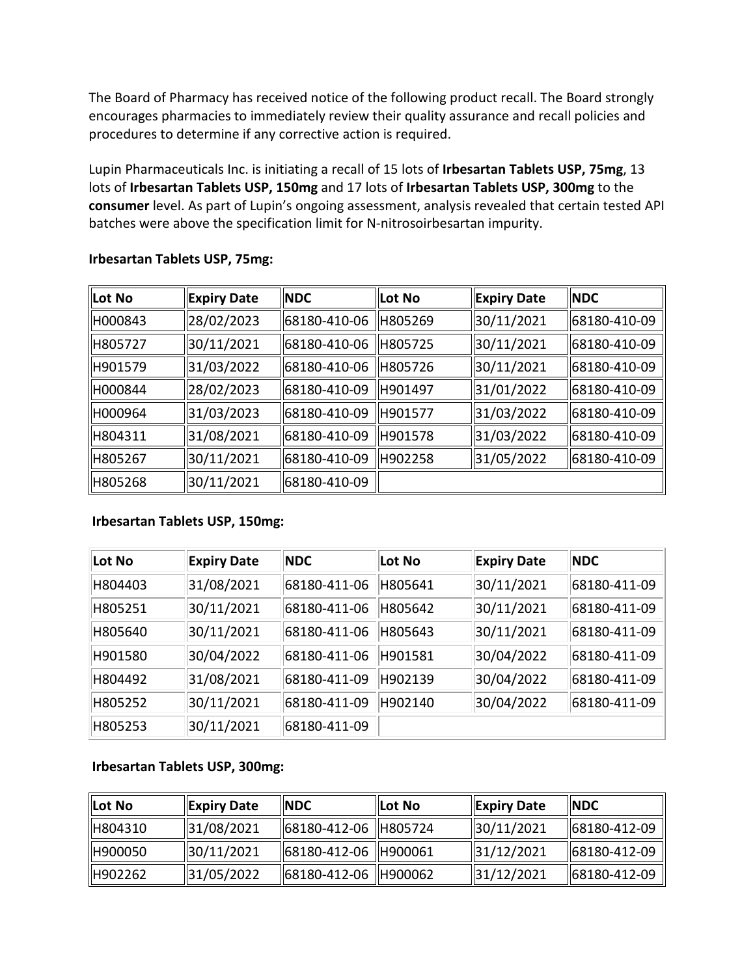The Board of Pharmacy has received notice of the following product recall. The Board strongly encourages pharmacies to immediately review their quality assurance and recall policies and procedures to determine if any corrective action is required.

 Lupin Pharmaceuticals Inc. is initiating a recall of 15 lots of **Irbesartan Tablets USP, 75mg**, 13 lots of **Irbesartan Tablets USP, 150mg** and 17 lots of **Irbesartan Tablets USP, 300mg** to the **consumer** level. As part of Lupin's ongoing assessment, analysis revealed that certain tested API batches were above the specification limit for N-nitrosoirbesartan impurity.

| Lot No  | Expiry Date | <b>INDC</b>  | Lot No   | Expiry Date | <b>NDC</b>   |
|---------|-------------|--------------|----------|-------------|--------------|
| H000843 | 28/02/2023  | 68180-410-06 | H805269  | 30/11/2021  | 68180-410-09 |
| H805727 | 30/11/2021  | 68180-410-06 | H805725  | 30/11/2021  | 68180-410-09 |
| H901579 | 31/03/2022  | 68180-410-06 | H805726  | 30/11/2021  | 68180-410-09 |
| H000844 | 28/02/2023  | 68180-410-09 | H901497  | 31/01/2022  | 68180-410-09 |
| H000964 | 31/03/2023  | 68180-410-09 | lH901577 | 31/03/2022  | 68180-410-09 |
| H804311 | 31/08/2021  | 68180-410-09 | H901578  | 31/03/2022  | 68180-410-09 |
| H805267 | 30/11/2021  | 68180-410-09 | H902258  | 31/05/2022  | 68180-410-09 |
| H805268 | 30/11/2021  | 68180-410-09 |          |             |              |

## **Irbesartan Tablets USP, 75mg:**

## **Irbesartan Tablets USP, 150mg:**

| Lot No  | <b>Expiry Date</b> | <b>NDC</b>   | Lot No  | <b>Expiry Date</b> | <b>NDC</b>   |
|---------|--------------------|--------------|---------|--------------------|--------------|
| H804403 | 31/08/2021         | 68180-411-06 | H805641 | 30/11/2021         | 68180-411-09 |
| H805251 | 30/11/2021         | 68180-411-06 | H805642 | 30/11/2021         | 68180-411-09 |
| H805640 | 30/11/2021         | 68180-411-06 | H805643 | 30/11/2021         | 68180-411-09 |
| H901580 | 30/04/2022         | 68180-411-06 | H901581 | 30/04/2022         | 68180-411-09 |
| H804492 | 31/08/2021         | 68180-411-09 | H902139 | 30/04/2022         | 68180-411-09 |
| H805252 | 30/11/2021         | 68180-411-09 | H902140 | 30/04/2022         | 68180-411-09 |
| H805253 | 30/11/2021         | 68180-411-09 |         |                    |              |

## **Irbesartan Tablets USP, 300mg:**

| llLot No | Expiry Date | <b>NDC</b>             | Lot No | <b>Expiry Date</b>     | <b>INDC</b>  |
|----------|-------------|------------------------|--------|------------------------|--------------|
| H804310  | 31/08/2021  | 68180-412-06   H805724 |        | 30/11/2021             | 68180-412-09 |
| H900050  | 30/11/2021  | 68180-412-06   H900061 |        | $\frac{1}{31}/12/2021$ | 68180-412-09 |
| H902262  | 31/05/2022  | 68180-412-06   H900062 |        | 31/12/2021             | 68180-412-09 |